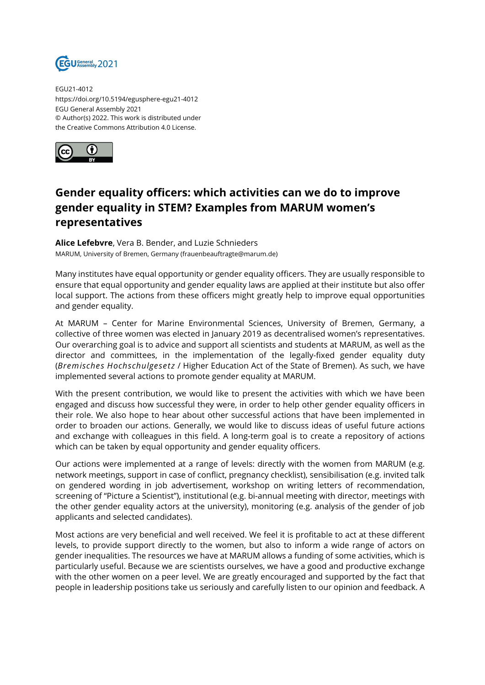

EGU21-4012 https://doi.org/10.5194/egusphere-egu21-4012 EGU General Assembly 2021 © Author(s) 2022. This work is distributed under the Creative Commons Attribution 4.0 License.



## **Gender equality officers: which activities can we do to improve gender equality in STEM? Examples from MARUM women's representatives**

**Alice Lefebvre**, Vera B. Bender, and Luzie Schnieders MARUM, University of Bremen, Germany (frauenbeauftragte@marum.de)

Many institutes have equal opportunity or gender equality officers. They are usually responsible to ensure that equal opportunity and gender equality laws are applied at their institute but also offer local support. The actions from these officers might greatly help to improve equal opportunities and gender equality.

At MARUM – Center for Marine Environmental Sciences, University of Bremen, Germany, a collective of three women was elected in January 2019 as decentralised women's representatives. Our overarching goal is to advice and support all scientists and students at MARUM, as well as the director and committees, in the implementation of the legally-fixed gender equality duty (*Bremisches Hochschulgesetz* / Higher Education Act of the State of Bremen). As such, we have implemented several actions to promote gender equality at MARUM.

With the present contribution, we would like to present the activities with which we have been engaged and discuss how successful they were, in order to help other gender equality officers in their role. We also hope to hear about other successful actions that have been implemented in order to broaden our actions. Generally, we would like to discuss ideas of useful future actions and exchange with colleagues in this field. A long-term goal is to create a repository of actions which can be taken by equal opportunity and gender equality officers.

Our actions were implemented at a range of levels: directly with the women from MARUM (e.g. network meetings, support in case of conflict, pregnancy checklist), sensibilisation (e.g. invited talk on gendered wording in job advertisement, workshop on writing letters of recommendation, screening of "Picture a Scientist"), institutional (e.g. bi-annual meeting with director, meetings with the other gender equality actors at the university), monitoring (e.g. analysis of the gender of job applicants and selected candidates).

Most actions are very beneficial and well received. We feel it is profitable to act at these different levels, to provide support directly to the women, but also to inform a wide range of actors on gender inequalities. The resources we have at MARUM allows a funding of some activities, which is particularly useful. Because we are scientists ourselves, we have a good and productive exchange with the other women on a peer level. We are greatly encouraged and supported by the fact that people in leadership positions take us seriously and carefully listen to our opinion and feedback. A